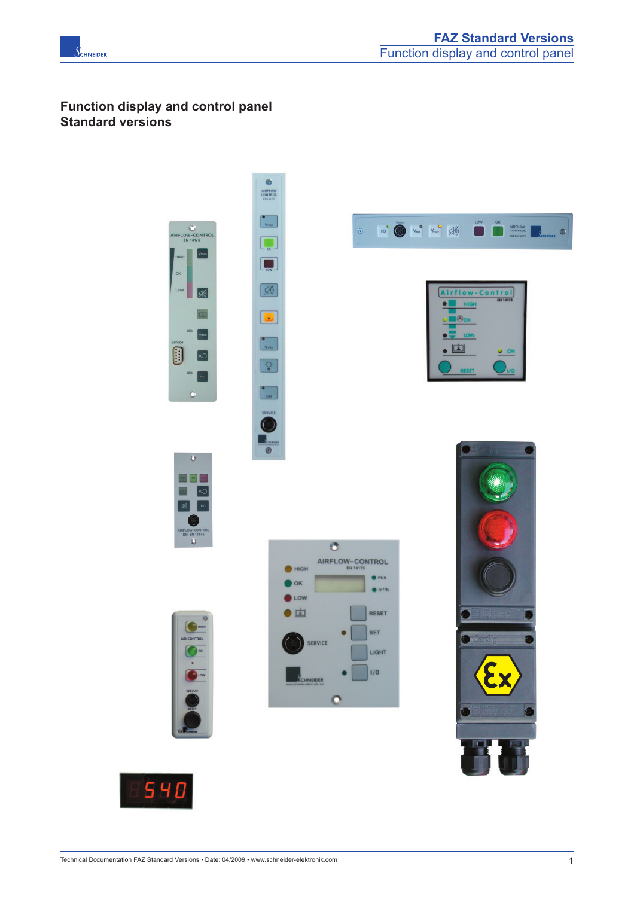

# **Function display and control panel Standard versions**





 $\bullet$ 

 $\bullet$  HIGH

 $\bullet$  ok

 $\bullet$  LOW ●固

AIRFLOW-CONTROL

 $\bullet$ 

 $\circ$ 

SERVICE

SCHNEIDER

 $\bullet$  m/s

 $\bullet$  m<sup>2</sup>/h

RESET SET

LIGHT

 $1/0$ 

 $\bullet$ AIRFLOW











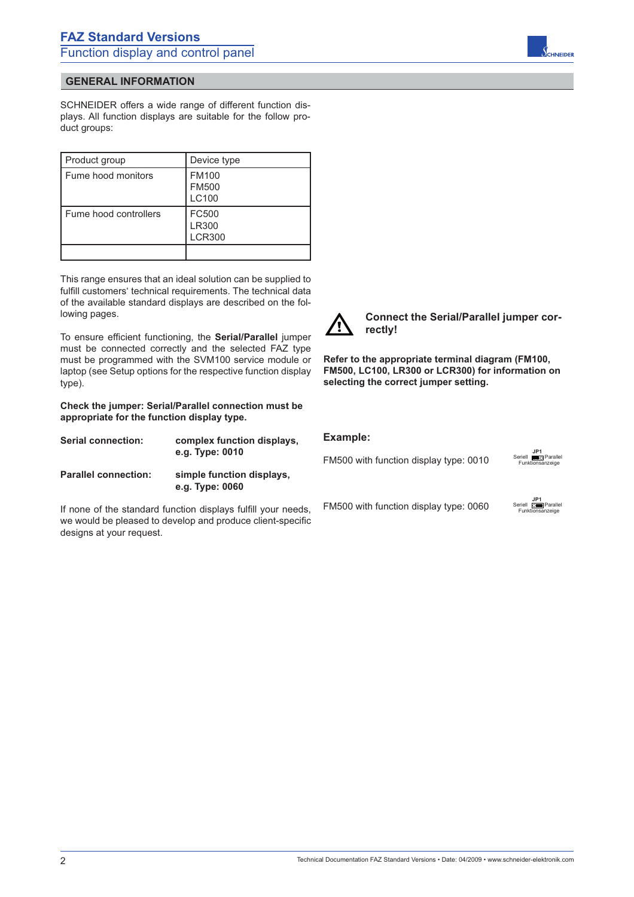

SCHNEIDER offers a wide range of different function displays. All function displays are suitable for the follow product groups:

| Product group         | Device type                           |
|-----------------------|---------------------------------------|
| Fume hood monitors    | <b>FM100</b><br><b>FM500</b><br>LC100 |
| Fume hood controllers | FC500<br>LR300<br><b>LCR300</b>       |
|                       |                                       |

This range ensures that an ideal solution can be supplied to fulfill customers' technical requirements. The technical data of the available standard displays are described on the following pages.

To ensure efficient functioning, the **Serial/Parallel** jumper must be connected correctly and the selected FAZ type must be programmed with the SVM100 service module or laptop (see Setup options for the respective function display type).

**Check the jumper: Serial/Parallel connection must be appropriate for the function display type.**

| <b>Serial connection:</b>   | complex function displays,<br>e.g. Type: 0010 |
|-----------------------------|-----------------------------------------------|
| <b>Parallel connection:</b> | simple function displays,<br>e.g. Type: 0060  |

If none of the standard function displays fulfill your needs, we would be pleased to develop and produce client-specific designs at your request.



**Connect the Serial/Parallel jumper correctly!**

**Refer to the appropriate terminal diagram (FM100, FM500, LC100, LR300 or LCR300) for information on selecting the correct jumper setting.**

#### **Example:**

FM500 with function display type: 0010



FM500 with function display type: 0060



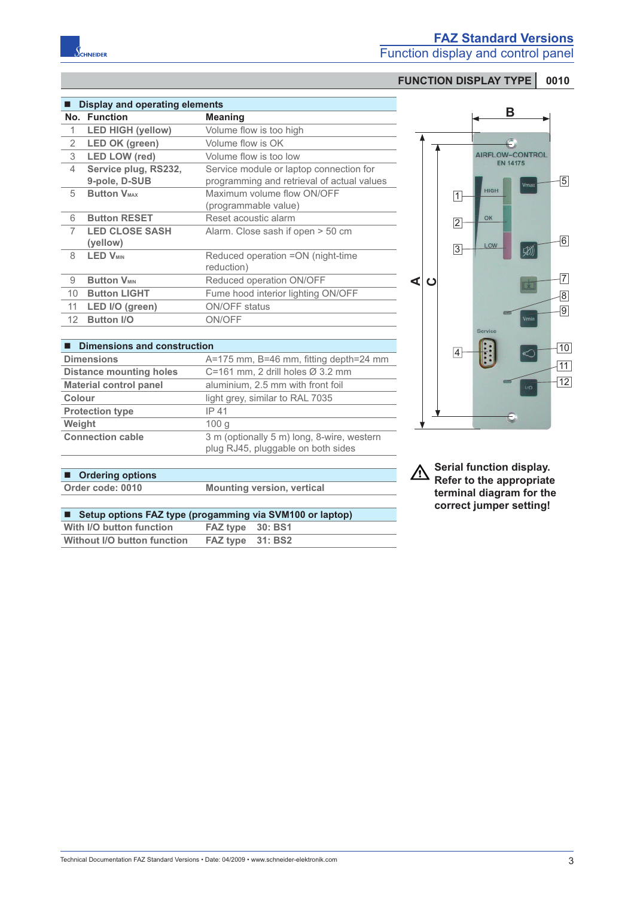|                 | Display and operating elements        |                                                                                       |  |
|-----------------|---------------------------------------|---------------------------------------------------------------------------------------|--|
|                 | No. Function                          | <b>Meaning</b>                                                                        |  |
| 1               | <b>LED HIGH (yellow)</b>              | Volume flow is too high                                                               |  |
| 2               | <b>LED OK (green)</b>                 | Volume flow is OK                                                                     |  |
| 3               | <b>LED LOW (red)</b>                  | Volume flow is too low                                                                |  |
| 4               | Service plug, RS232,<br>9-pole, D-SUB | Service module or laptop connection for<br>programming and retrieval of actual values |  |
| 5               | <b>Button VMAX</b>                    | Maximum volume flow ON/OFF<br>(programmable value)                                    |  |
| 6               | <b>Button RESET</b>                   | Reset acoustic alarm                                                                  |  |
| 7               | <b>LED CLOSE SASH</b><br>(yellow)     | Alarm. Close sash if open > 50 cm                                                     |  |
| 8               | <b>LED VMIN</b>                       | Reduced operation =ON (night-time<br>reduction)                                       |  |
| 9               | <b>Button VMIN</b>                    | Reduced operation ON/OFF                                                              |  |
| 10 <sup>1</sup> | <b>Button LIGHT</b>                   | Fume hood interior lighting ON/OFF                                                    |  |
| 11              | LED I/O (green)                       | <b>ON/OFF</b> status                                                                  |  |
| 12              | <b>Button I/O</b>                     | ON/OFF                                                                                |  |
|                 |                                       |                                                                                       |  |

| <b>Dimensions and construction</b> |                                                                                  |  |
|------------------------------------|----------------------------------------------------------------------------------|--|
| <b>Dimensions</b>                  | A=175 mm, B=46 mm, fitting depth=24 mm                                           |  |
| <b>Distance mounting holes</b>     | C=161 mm, 2 drill holes $\varnothing$ 3.2 mm                                     |  |
| <b>Material control panel</b>      | aluminium, 2.5 mm with front foil                                                |  |
| Colour                             | light grey, similar to RAL 7035                                                  |  |
| <b>Protection type</b>             | IP 41                                                                            |  |
| Weight                             | 100q                                                                             |  |
| <b>Connection cable</b>            | 3 m (optionally 5 m) long, 8-wire, western<br>plug RJ45, pluggable on both sides |  |



**Serial function display.**  $\overline{\mathbb{V}}$ **Refer to the appropriate terminal diagram for the correct jumper setting!**

|     |  | <b>Ordering options</b> |
|-----|--|-------------------------|
| - - |  | -----                   |

**Order code: 0010 Mounting version, vertical** 

| ■ Setup options FAZ type (progamming via SVM100 or laptop) |                  |  |
|------------------------------------------------------------|------------------|--|
| With I/O button function                                   | FAZ type 30: BS1 |  |
| Without I/O button function                                | FAZ type 31: BS2 |  |
|                                                            |                  |  |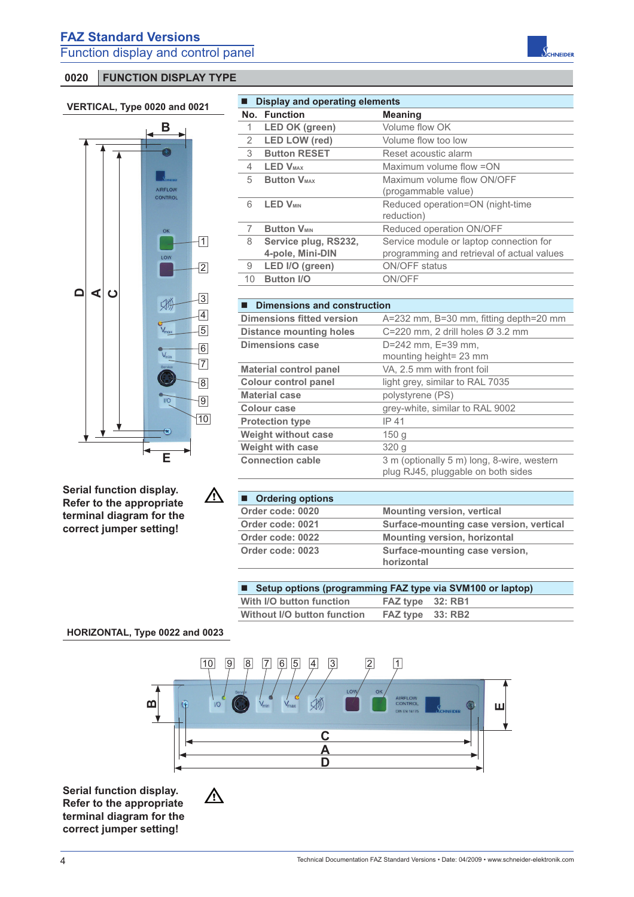

**Serial function display. Refer to the appropriate terminal diagram for the correct jumper setting!**

 $\triangle$ 

 $\triangle$ 

| <b>Display and operating elements</b> |                            |                                            |
|---------------------------------------|----------------------------|--------------------------------------------|
|                                       | No. Function               | <b>Meaning</b>                             |
| 1                                     | <b>LED OK (green)</b>      | Volume flow OK                             |
| 2                                     | <b>LED LOW (red)</b>       | Volume flow too low                        |
| 3                                     | <b>Button RESET</b>        | Reset acoustic alarm                       |
| 4                                     | <b>LED V<sub>MAX</sub></b> | Maximum volume flow = ON                   |
| 5                                     | <b>Button VMAX</b>         | Maximum volume flow ON/OFF                 |
|                                       |                            | (progammable value)                        |
| 6                                     | <b>LED V<sub>MIN</sub></b> | Reduced operation=ON (night-time           |
|                                       |                            | reduction)                                 |
| 7                                     | <b>Button VMIN</b>         | Reduced operation ON/OFF                   |
| 8                                     | Service plug, RS232,       | Service module or laptop connection for    |
|                                       | 4-pole, Mini-DIN           | programming and retrieval of actual values |
| 9                                     | LED I/O (green)            | ON/OFF status                              |
| 10                                    | <b>Button I/O</b>          | ON/OFF                                     |
|                                       |                            |                                            |

| Dimensions and construction      |                                              |  |
|----------------------------------|----------------------------------------------|--|
| <b>Dimensions fitted version</b> | A=232 mm, B=30 mm, fitting depth=20 mm       |  |
| <b>Distance mounting holes</b>   | C=220 mm, 2 drill holes $\varnothing$ 3.2 mm |  |
| <b>Dimensions case</b>           | D=242 mm, E=39 mm,                           |  |
|                                  | mounting height= 23 mm                       |  |
| <b>Material control panel</b>    | VA, 2.5 mm with front foil                   |  |
| <b>Colour control panel</b>      | light grey, similar to RAL 7035              |  |
| <b>Material case</b>             | polystyrene (PS)                             |  |
| Colour case                      | grey-white, similar to RAL 9002              |  |
| <b>Protection type</b>           | IP 41                                        |  |
| <b>Weight without case</b>       | 150 <sub>g</sub>                             |  |
| <b>Weight with case</b>          | 320 <sub>q</sub>                             |  |

| ■ Ordering options |                                              |
|--------------------|----------------------------------------------|
| Order code: 0020   | <b>Mounting version, vertical</b>            |
| Order code: 0021   | Surface-mounting case version, vertical      |
| Order code: 0022   | <b>Mounting version, horizontal</b>          |
| Order code: 0023   | Surface-mounting case version,<br>horizontal |

plug RJ45, pluggable on both sides

**Connection cable** 3 m (optionally 5 m) long, 8-wire, western

| ■ Setup options (programming FAZ type via SVM100 or laptop) |                  |  |
|-------------------------------------------------------------|------------------|--|
| With I/O button function                                    | FAZ type 32: RB1 |  |
| Without I/O button function                                 | FAZ type 33: RB2 |  |
|                                                             |                  |  |

### **HORIZONTAL, Type 0022 and 0023**



**Serial function display. Refer to the appropriate terminal diagram for the correct jumper setting!**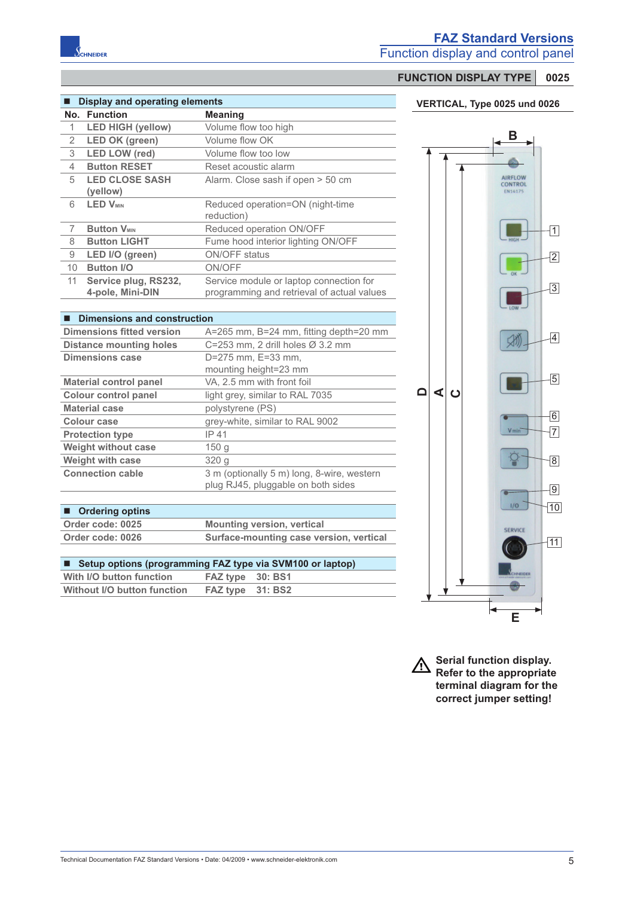

# **FAZ Standard Versions**

Function display and control panel

# **FUNCTION DISPLAY TYPE 0025**

#### **VERTICAL, Type 0025 und 0026**

| <b>Display and operating elements</b> |                               |                                            |
|---------------------------------------|-------------------------------|--------------------------------------------|
|                                       | No. Function                  | <b>Meaning</b>                             |
| 1                                     | <b>LED HIGH (yellow)</b>      | Volume flow too high                       |
| 2                                     | <b>LED OK (green)</b>         | Volume flow OK                             |
| 3                                     | <b>LED LOW (red)</b>          | Volume flow too low                        |
| 4                                     | <b>Button RESET</b>           | Reset acoustic alarm                       |
| 5                                     | <b>LED CLOSE SASH</b>         | Alarm. Close sash if open > 50 cm          |
|                                       | (yellow)                      |                                            |
| 6                                     | <b>LED VMIN</b>               | Reduced operation=ON (night-time           |
|                                       |                               | reduction)                                 |
| 7                                     | <b>Button V<sub>MIN</sub></b> | Reduced operation ON/OFF                   |
| 8                                     | <b>Button LIGHT</b>           | Fume hood interior lighting ON/OFF         |
| 9                                     | LED I/O (green)               | <b>ON/OFF status</b>                       |
| 10 <sup>°</sup>                       | <b>Button I/O</b>             | ON/OFF                                     |
| 11 <sup>1</sup>                       | Service plug, RS232,          | Service module or laptop connection for    |
|                                       | 4-pole, Mini-DIN              | programming and retrieval of actual values |

#### $\blacksquare$  **Dimensions and construction**

| <b>Dimensions fitted version</b> | A=265 mm, B=24 mm, fitting depth=20 mm                                           |  |
|----------------------------------|----------------------------------------------------------------------------------|--|
| <b>Distance mounting holes</b>   | C=253 mm, 2 drill holes $\varnothing$ 3.2 mm                                     |  |
| <b>Dimensions case</b>           | D=275 mm. E=33 mm.                                                               |  |
|                                  | mounting height=23 mm                                                            |  |
| <b>Material control panel</b>    | VA, 2.5 mm with front foil                                                       |  |
| <b>Colour control panel</b>      | light grey, similar to RAL 7035                                                  |  |
| <b>Material case</b>             | polystyrene (PS)                                                                 |  |
| Colour case                      | grey-white, similar to RAL 9002                                                  |  |
| <b>Protection type</b>           | IP 41                                                                            |  |
| <b>Weight without case</b>       | 150 g                                                                            |  |
| <b>Weight with case</b>          | 320q                                                                             |  |
| <b>Connection cable</b>          | 3 m (optionally 5 m) long, 8-wire, western<br>plug RJ45, pluggable on both sides |  |

#### ■ Ordering optins

| Order code: 0025 | <b>Mounting version, vertical</b>       |
|------------------|-----------------------------------------|
| Order code: 0026 | Surface-mounting case version, vertical |

| ■ Setup options (programming FAZ type via SVM100 or laptop) |                  |  |
|-------------------------------------------------------------|------------------|--|
| With I/O button function                                    | FAZ type 30: BS1 |  |

| Without I/O button function | FAZ type 31: BS2 |  |
|-----------------------------|------------------|--|
|                             |                  |  |



**Serial function display. Refer to the appropriate terminal diagram for the correct jumper setting!**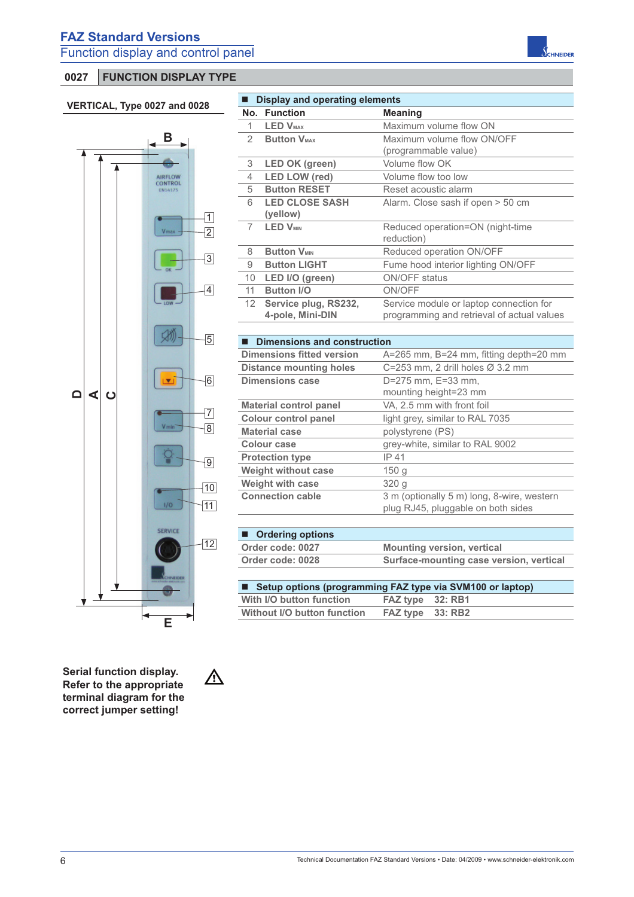# **0027 FUNCTION DISPLAY TYPE**

 $\frac{1}{2}$ 

### **VERTICAL, Type 0027 and 0028**



**Serial function display. Refer to the appropriate terminal diagram for the correct jumper setting!**

 $\triangle$ 

| $\blacksquare$ | <b>Display and operating elements</b>    |                                                                                       |
|----------------|------------------------------------------|---------------------------------------------------------------------------------------|
|                | No. Function                             | <b>Meaning</b>                                                                        |
| 1              | <b>LED V<sub>MAX</sub></b>               | Maximum volume flow ON                                                                |
| 2              | <b>Button VMAX</b>                       | Maximum volume flow ON/OFF                                                            |
|                |                                          | (programmable value)                                                                  |
| 3              | <b>LED OK (green)</b>                    | Volume flow OK                                                                        |
| 4              | <b>LED LOW (red)</b>                     | Volume flow too low                                                                   |
| 5              | <b>Button RESET</b>                      | Reset acoustic alarm                                                                  |
| 6              | <b>LED CLOSE SASH</b><br>(yellow)        | Alarm. Close sash if open > 50 cm                                                     |
| 7              | <b>LED V<sub>MIN</sub></b>               | Reduced operation=ON (night-time<br>reduction)                                        |
| 8              | <b>Button VMIN</b>                       | Reduced operation ON/OFF                                                              |
| 9              | <b>Button LIGHT</b>                      | Fume hood interior lighting ON/OFF                                                    |
| 10             | LED I/O (green)                          | <b>ON/OFF</b> status                                                                  |
| 11             | <b>Button I/O</b>                        | ON/OFF                                                                                |
| 12             | Service plug, RS232,<br>4-pole, Mini-DIN | Service module or laptop connection for<br>programming and retrieval of actual values |
|                |                                          |                                                                                       |
|                | ■ Dimensions and construction            |                                                                                       |
|                | <b>Dimensions fitted version</b>         | A=265 mm, B=24 mm, fitting depth=20 mm                                                |
|                | <b>Distance mounting holes</b>           | C=253 mm, 2 drill holes Ø 3.2 mm                                                      |
|                | <b>Dimensions case</b>                   | D=275 mm, E=33 mm,                                                                    |
|                |                                          | mounting height=23 mm                                                                 |
|                | <b>Material control panel</b>            | VA, 2.5 mm with front foil                                                            |
|                | <b>Colour control panel</b>              | light grey, similar to RAL 7035                                                       |
|                | <b>Material case</b>                     | polystyrene (PS)                                                                      |
|                | Colour case                              | grey-white, similar to RAL 9002                                                       |
|                | <b>Protection type</b>                   | IP 41                                                                                 |
|                | <b>Weight without case</b>               | 150 <sub>g</sub>                                                                      |
|                | <b>Weight with case</b>                  | 320 g                                                                                 |
|                | <b>Connection cable</b>                  | 3 m (optionally 5 m) long, 8-wire, western<br>plug RJ45, pluggable on both sides      |
|                | ■ Ordering options                       |                                                                                       |
|                | Order code: 0027                         | <b>Mounting version, vertical</b>                                                     |
|                | Order code: 0028                         | Surface-mounting case version, vertical                                               |
| ■              |                                          | Setup options (programming FAZ type via SVM100 or laptop)                             |

|                                                 |  | ■ Setup options (programming FAZ type via SVM100 or laptop) |
|-------------------------------------------------|--|-------------------------------------------------------------|
| FAZ type 32: RB1                                |  | With I/O button function                                    |
| Without I/O button function<br>FAZ type 33: RB2 |  |                                                             |

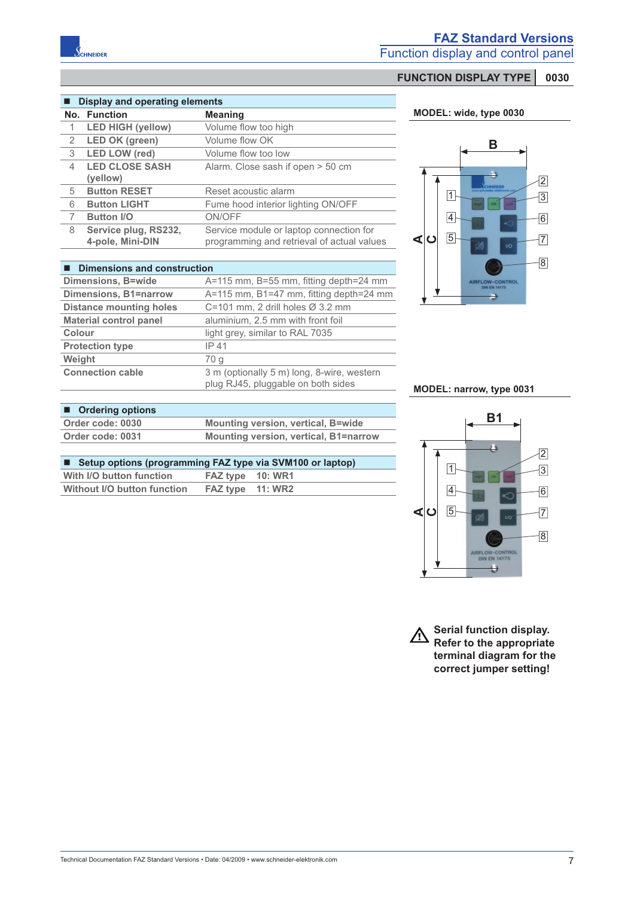

# **FAZ Standard Versions**

Function display and control panel

# **FUNCTION DISPLAY TYPE 0030**

#### $\blacksquare$  Display and operating elements

|   | No. Function             | <b>Meaning</b>                             |
|---|--------------------------|--------------------------------------------|
|   | <b>LED HIGH (yellow)</b> | Volume flow too high                       |
| 2 | <b>LED OK (green)</b>    | Volume flow OK                             |
| 3 | <b>LED LOW (red)</b>     | Volume flow too low                        |
| 4 | <b>LED CLOSE SASH</b>    | Alarm. Close sash if open > 50 cm          |
|   | (yellow)                 |                                            |
| 5 | <b>Button RESET</b>      | Reset acoustic alarm                       |
| 6 | <b>Button LIGHT</b>      | Fume hood interior lighting ON/OFF         |
|   | <b>Button I/O</b>        | ON/OFF                                     |
| 8 | Service plug, RS232,     | Service module or laptop connection for    |
|   | 4-pole, Mini-DIN         | programming and retrieval of actual values |

#### **Dimensions and construction**

| $\blacksquare$ Difficits only and construction |                                                                                  |
|------------------------------------------------|----------------------------------------------------------------------------------|
| <b>Dimensions, B=wide</b>                      | A=115 mm, B=55 mm, fitting depth=24 mm                                           |
| <b>Dimensions, B1=narrow</b>                   | $A=115$ mm, B1=47 mm, fitting depth=24 mm                                        |
| <b>Distance mounting holes</b>                 | C=101 mm, 2 drill holes $\varnothing$ 3.2 mm                                     |
| <b>Material control panel</b>                  | aluminium, 2.5 mm with front foil                                                |
| Colour                                         | light grey, similar to RAL 7035                                                  |
| <b>Protection type</b>                         | IP 41                                                                            |
| Weight                                         | 70 g                                                                             |
| <b>Connection cable</b>                        | 3 m (optionally 5 m) long, 8-wire, western<br>plug RJ45, pluggable on both sides |

#### **MODEL: wide, type 0030**



#### **MODEL: narrow, type 0031**

# ■ Ordering options **Order code: 0030 Mounting version, vertical, B=wide Order code: 0031 Mounting version, vertical, B1=narrow**

| ■ Setup options (programming FAZ type via SVM100 or laptop) |                  |  |
|-------------------------------------------------------------|------------------|--|
| With I/O button function                                    | FAZ type 10: WR1 |  |
| Without I/O button function                                 | FAZ type 11: WR2 |  |



**Serial function display.**  $\Delta$ **Refer to the appropriate terminal diagram for the correct jumper setting!**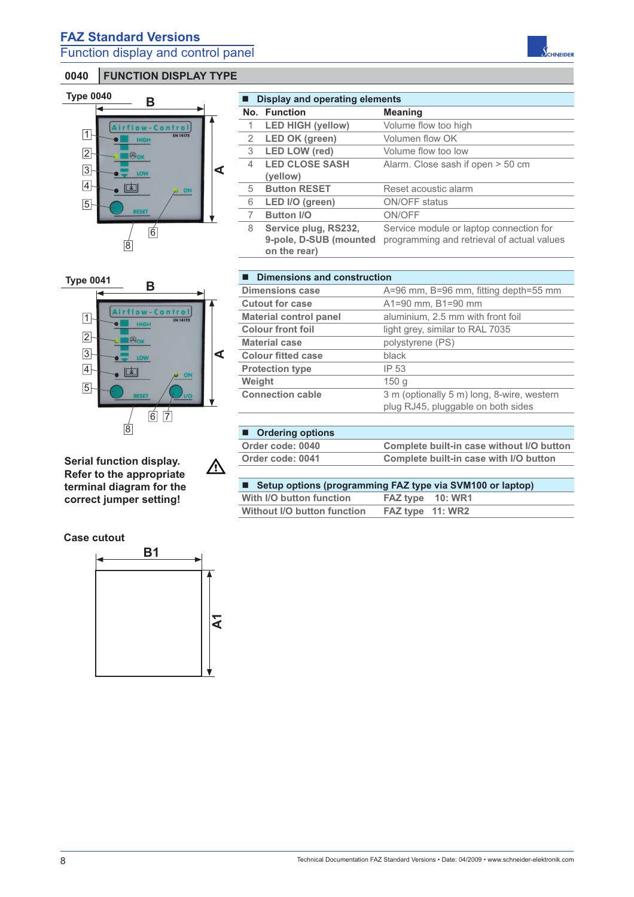

|   | Display and operating elements                                 |                                                                                       |  |  |
|---|----------------------------------------------------------------|---------------------------------------------------------------------------------------|--|--|
|   | No. Function                                                   | <b>Meaning</b>                                                                        |  |  |
| 1 | <b>LED HIGH (yellow)</b>                                       | Volume flow too high                                                                  |  |  |
| 2 | LED OK (green)                                                 | Volumen flow OK                                                                       |  |  |
| 3 | <b>LED LOW (red)</b>                                           | Volume flow too low                                                                   |  |  |
| 4 | <b>LED CLOSE SASH</b>                                          | Alarm. Close sash if open > 50 cm                                                     |  |  |
|   | (yellow)                                                       |                                                                                       |  |  |
| 5 | <b>Button RESET</b>                                            | Reset acoustic alarm                                                                  |  |  |
| 6 | LED I/O (green)                                                | ON/OFF status                                                                         |  |  |
|   | <b>Button I/O</b>                                              | ON/OFF                                                                                |  |  |
| 8 | Service plug, RS232,<br>9-pole, D-SUB (mounted<br>on the rear) | Service module or laptop connection for<br>programming and retrieval of actual values |  |  |



#### **Serial function display.**  $\triangle$ **Refer to the appropriate terminal diagram for the correct jumper setting!**

| Dimensions and construction   |                                                                                  |  |  |
|-------------------------------|----------------------------------------------------------------------------------|--|--|
| <b>Dimensions case</b>        | A=96 mm, B=96 mm, fitting depth=55 mm                                            |  |  |
| Cutout for case               | A1=90 mm, B1=90 mm                                                               |  |  |
| <b>Material control panel</b> | aluminium, 2.5 mm with front foil                                                |  |  |
| <b>Colour front foil</b>      | light grey, similar to RAL 7035                                                  |  |  |
| <b>Material case</b>          | polystyrene (PS)                                                                 |  |  |
| <b>Colour fitted case</b>     | black                                                                            |  |  |
| <b>Protection type</b>        | IP 53                                                                            |  |  |
| Weight                        | 150q                                                                             |  |  |
| <b>Connection cable</b>       | 3 m (optionally 5 m) long, 8-wire, western<br>plug RJ45, pluggable on both sides |  |  |
|                               |                                                                                  |  |  |
| <b>Ordering options</b>       |                                                                                  |  |  |

| Order code: 0040 | Complete built-in case without I/O button |
|------------------|-------------------------------------------|
| Order code: 0041 | Complete built-in case with I/O button    |
|                  |                                           |

| ■ Setup options (programming FAZ type via SVM100 or laptop) |                  |  |
|-------------------------------------------------------------|------------------|--|
| With I/O button function                                    | FAZ type 10: WR1 |  |
| Without I/O button function                                 | FAZ type 11: WR2 |  |

### **Case cutout**

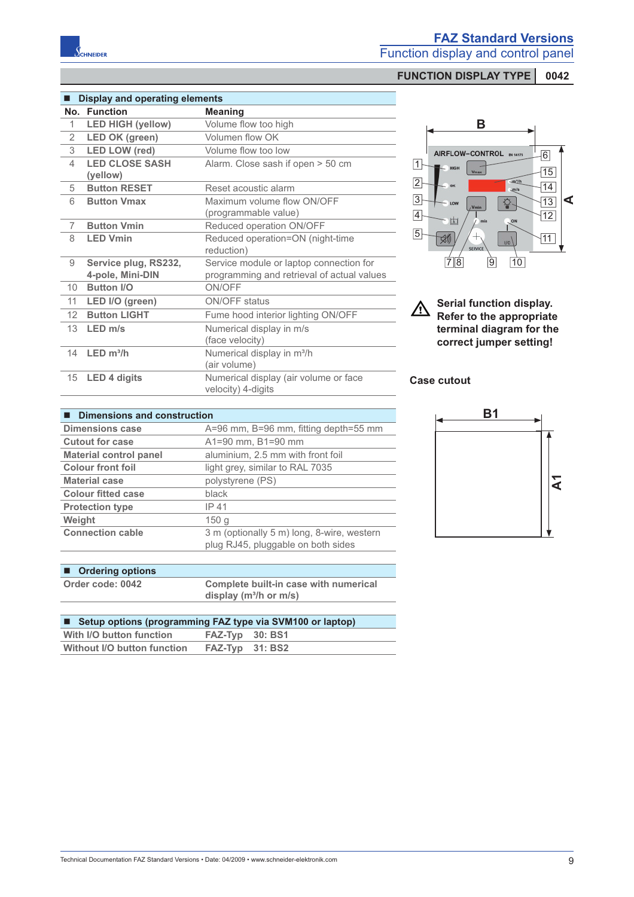

**FUNCTION DISPLAY TYPE** 0042

| . .             | <b>Display and operating elements</b>    |                                                                                       |
|-----------------|------------------------------------------|---------------------------------------------------------------------------------------|
| No.             | <b>Function</b>                          | <b>Meaning</b>                                                                        |
| 1               | <b>LED HIGH (yellow)</b>                 | Volume flow too high                                                                  |
| 2               | <b>LED OK (green)</b>                    | Volumen flow OK                                                                       |
| 3               | <b>LED LOW (red)</b>                     | Volume flow too low                                                                   |
| $\overline{4}$  | <b>LED CLOSE SASH</b><br>(yellow)        | Alarm. Close sash if open > 50 cm                                                     |
| 5               | <b>Button RESET</b>                      | Reset acoustic alarm                                                                  |
| 6               | <b>Button Vmax</b>                       | Maximum volume flow ON/OFF<br>(programmable value)                                    |
| 7               | <b>Button Vmin</b>                       | Reduced operation ON/OFF                                                              |
| 8               | <b>LED Vmin</b>                          | Reduced operation=ON (night-time<br>reduction)                                        |
| 9               | Service plug, RS232,<br>4-pole, Mini-DIN | Service module or laptop connection for<br>programming and retrieval of actual values |
| 10              | <b>Button I/O</b>                        | ON/OFF                                                                                |
| 11              | LED I/O (green)                          | <b>ON/OFF status</b>                                                                  |
| 12 <sup>2</sup> | <b>Button LIGHT</b>                      | Fume hood interior lighting ON/OFF                                                    |
| 13              | $LED \, m/s$                             | Numerical display in m/s<br>(face velocity)                                           |
| 14              | LED m <sup>3</sup> /h                    | Numerical display in m <sup>3</sup> /h<br>(air volume)                                |
| 15              | <b>LED 4 digits</b>                      | Numerical display (air volume or face<br>velocity) 4-digits                           |

### ■ **Dimensions and construction**

| A=96 mm, B=96 mm, fitting depth=55 mm      |
|--------------------------------------------|
| A1=90 mm, B1=90 mm                         |
| aluminium, 2.5 mm with front foil          |
| light grey, similar to RAL 7035            |
| polystyrene (PS)                           |
| black                                      |
| IP 41                                      |
| 150q                                       |
| 3 m (optionally 5 m) long, 8-wire, western |
| plug RJ45, pluggable on both sides         |
|                                            |

| ■ Ordering options |                                       |
|--------------------|---------------------------------------|
| Order code: 0042   | Complete built-in case with numerical |
|                    | display $(m^3/h$ or $m/s$ )           |

| ■ Setup options (programming FAZ type via SVM100 or laptop) |                 |  |
|-------------------------------------------------------------|-----------------|--|
| With I/O button function                                    | FAZ-Typ 30: BS1 |  |
| Without I/O button function                                 | FAZ-Typ 31: BS2 |  |



**Serial function display.**  $\triangle$ **Refer to the appropriate terminal diagram for the correct jumper setting!**

## **Case cutout**

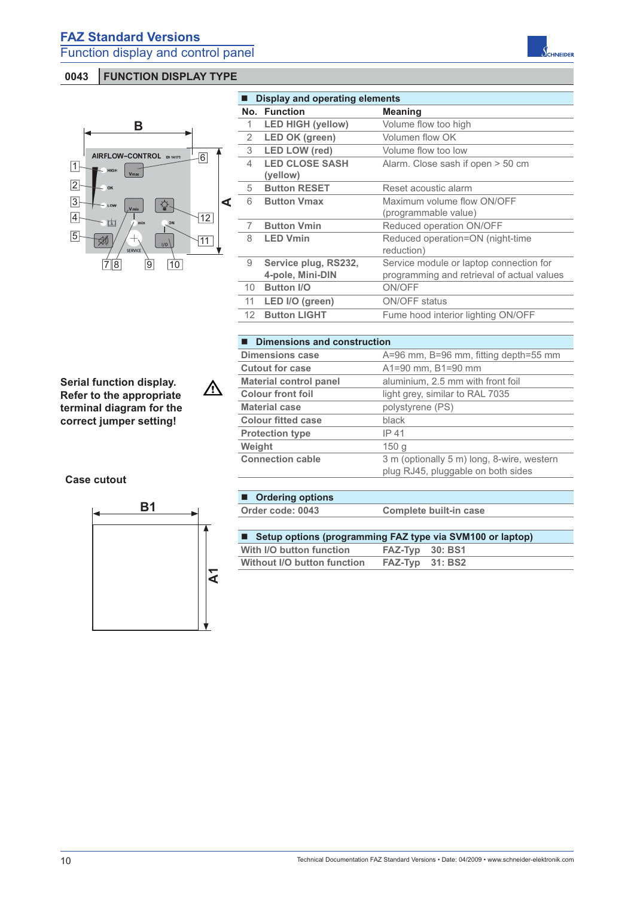# **0043 FUNCTION DISPLAY TYPE**



|                 | <b>Display and operating elements</b> |                                            |  |
|-----------------|---------------------------------------|--------------------------------------------|--|
|                 | No. Function                          | <b>Meaning</b>                             |  |
| 1               | <b>LED HIGH (yellow)</b>              | Volume flow too high                       |  |
| 2               | <b>LED OK (green)</b>                 | Volumen flow OK                            |  |
| 3               | <b>LED LOW (red)</b>                  | Volume flow too low                        |  |
| 4               | <b>LED CLOSE SASH</b>                 | Alarm. Close sash if open > 50 cm          |  |
|                 | (yellow)                              |                                            |  |
| 5               | <b>Button RESET</b>                   | Reset acoustic alarm                       |  |
| 6               | <b>Button Vmax</b>                    | Maximum volume flow ON/OFF                 |  |
|                 |                                       | (programmable value)                       |  |
| 7               | <b>Button Vmin</b>                    | Reduced operation ON/OFF                   |  |
| 8               | <b>LED Vmin</b>                       | Reduced operation=ON (night-time           |  |
|                 |                                       | reduction)                                 |  |
| 9               | Service plug, RS232,                  | Service module or laptop connection for    |  |
|                 | 4-pole, Mini-DIN                      | programming and retrieval of actual values |  |
| 10              | <b>Button I/O</b>                     | ON/OFF                                     |  |
| 11              | LED I/O (green)                       | <b>ON/OFF status</b>                       |  |
| 12 <sup>°</sup> | <b>Button LIGHT</b>                   | Fume hood interior lighting ON/OFF         |  |
|                 |                                       |                                            |  |

**Dimensions case** A=96 mm, B=96 mm, fitting depth=55 mm

**Connection cable** 3 m (optionally 5 m) long, 8-wire, western

**Cutout for case** A1=90 mm, B1=90 mm

**Material case** polystyrene (PS)

**Material control panel** aluminium, 2.5 mm with front foil **Colour front foil** light grey, similar to RAL 7035

#### ■ **Dimensions and construction**

**Colour fitted case** black **Protection type IP 41 Weight** 150 g

**Serial function display. Refer to the appropriate terminal diagram for the correct jumper setting!**

#### **Case cutout**



**Ordering options**

 $\bigwedge$ 

**Order code: 0043 Complete built-in case** 

plug RJ45, pluggable on both sides

| ■ Setup options (programming FAZ type via SVM100 or laptop) |                 |  |
|-------------------------------------------------------------|-----------------|--|
| With I/O button function                                    | FAZ-Tvp 30: BS1 |  |
| Without I/O button function                                 | FAZ-Typ 31: BS2 |  |

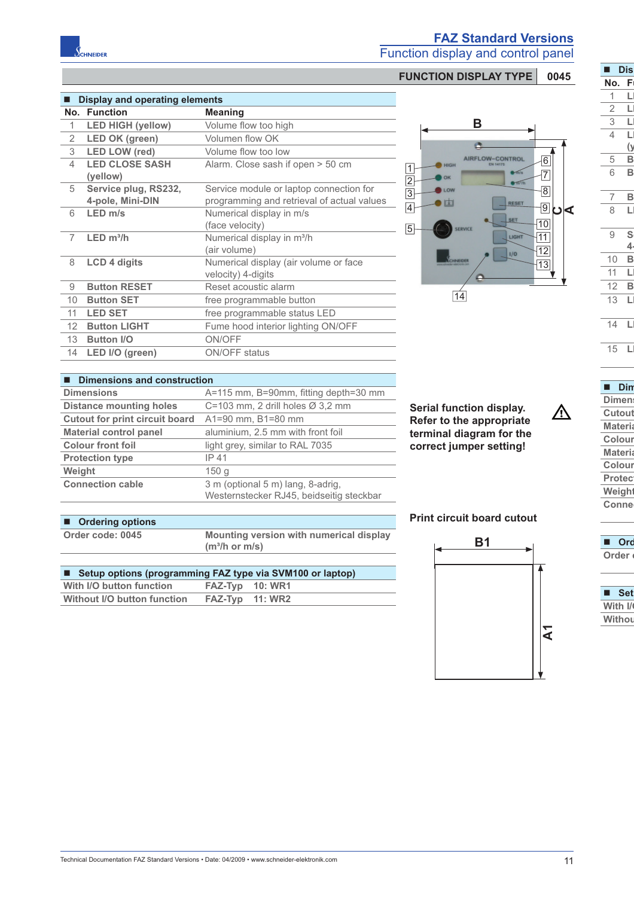# **FAZ Standard Versions**

Function display and control panel

# **FUNCTION DISPLAY TYPE** 0045

| ٦               | <b>Dis</b>           |
|-----------------|----------------------|
| No.             | ĺ                    |
|                 |                      |
| $\overline{2}$  |                      |
| 3               |                      |
| $\overline{4}$  |                      |
|                 |                      |
| 5               | $\frac{0}{\text{B}}$ |
| 6               |                      |
|                 |                      |
| $\frac{7}{8}$   | B<br>I               |
|                 |                      |
|                 |                      |
| 9               | S                    |
|                 | 4                    |
| 10              | B                    |
| 11              |                      |
| $\overline{12}$ |                      |
| 13              |                      |
|                 |                      |
| 14              | l                    |
| 15              | I                    |
|                 |                      |

#### **Din Dimens Cutout Materia Colour Materia Colour Protec Weight**

△

**Connec**

| . .     | <b>Set</b> |  |
|---------|------------|--|
| With I/ |            |  |
| Withou  |            |  |
|         |            |  |

# ■ Display and operating elements

CHNEIDER

|                  | No. Function                             | <b>Meaning</b>                                                                        |
|------------------|------------------------------------------|---------------------------------------------------------------------------------------|
| 1                | <b>LED HIGH (yellow)</b>                 | Volume flow too high                                                                  |
| $\overline{2}$   | <b>LED OK (green)</b>                    | Volumen flow OK                                                                       |
| 3                | <b>LED LOW (red)</b>                     | Volume flow too low                                                                   |
| 4                | <b>LED CLOSE SASH</b><br>(yellow)        | Alarm. Close sash if open > 50 cm                                                     |
| 5                | Service plug, RS232,<br>4-pole, Mini-DIN | Service module or laptop connection for<br>programming and retrieval of actual values |
| 6                | $LED \, m/s$                             | Numerical display in m/s<br>(face velocity)                                           |
| 7                | $LED \, m^3/h$                           | Numerical display in m <sup>3</sup> /h<br>(air volume)                                |
| 8                | <b>LCD 4 digits</b>                      | Numerical display (air volume or face<br>velocity) 4-digits                           |
| 9                | <b>Button RESET</b>                      | Reset acoustic alarm                                                                  |
| 10               | <b>Button SET</b>                        | free programmable button                                                              |
| 11               | <b>LED SET</b>                           | free programmable status LED                                                          |
| 12 <sup>12</sup> | <b>Button LIGHT</b>                      | Fume hood interior lighting ON/OFF                                                    |
| 13               | <b>Button I/O</b>                        | ON/OFF                                                                                |
| 14               | LED I/O (green)                          | <b>ON/OFF</b> status                                                                  |
|                  |                                          |                                                                                       |

#### **B** G. AIRFLOW-CONTROL 6 1 7  $\overline{2}$ LOW 8  $\overline{3}$  $\bullet$  $\overline{4}$ RESET  $\frac{9}{2}$ |ປ∣<  $|10|$ 5 SERVICE LIGHT  $\sqrt{11}$  $\overline{12}$  $|1/0|$  $|13|$  $\overline{14}$

| <b>Dimensions and construction</b>    |                                                                               |  |
|---------------------------------------|-------------------------------------------------------------------------------|--|
| <b>Dimensions</b>                     | A=115 mm, B=90mm, fitting depth=30 mm                                         |  |
| <b>Distance mounting holes</b>        | C=103 mm, 2 drill holes $\varnothing$ 3,2 mm                                  |  |
| <b>Cutout for print circuit board</b> | A1=90 mm, B1=80 mm                                                            |  |
| <b>Material control panel</b>         | aluminium, 2.5 mm with front foil                                             |  |
| <b>Colour front foil</b>              | light grey, similar to RAL 7035                                               |  |
| <b>Protection type</b>                | IP 41                                                                         |  |
| Weight                                | 150 <sub>g</sub>                                                              |  |
| <b>Connection cable</b>               | 3 m (optional 5 m) lang, 8-adrig,<br>Westernstecker RJ45, beidseitig steckbar |  |

# ■ Ordering options

**Order code: 0045** 

| Mounting version with numerical display |
|-----------------------------------------|
| $(m^3/h$ or m/s)                        |
|                                         |

| ■ Setup options (programming FAZ type via SVM100 or laptop) |                 |  |
|-------------------------------------------------------------|-----------------|--|
| With I/O button function                                    | FAZ-Typ 10: WR1 |  |
| Without I/O button function                                 | FAZ-Typ 11: WR2 |  |

# **Print circuit board cutout**

**Serial function display. Refer to the appropriate terminal diagram for the correct jumper setting!**

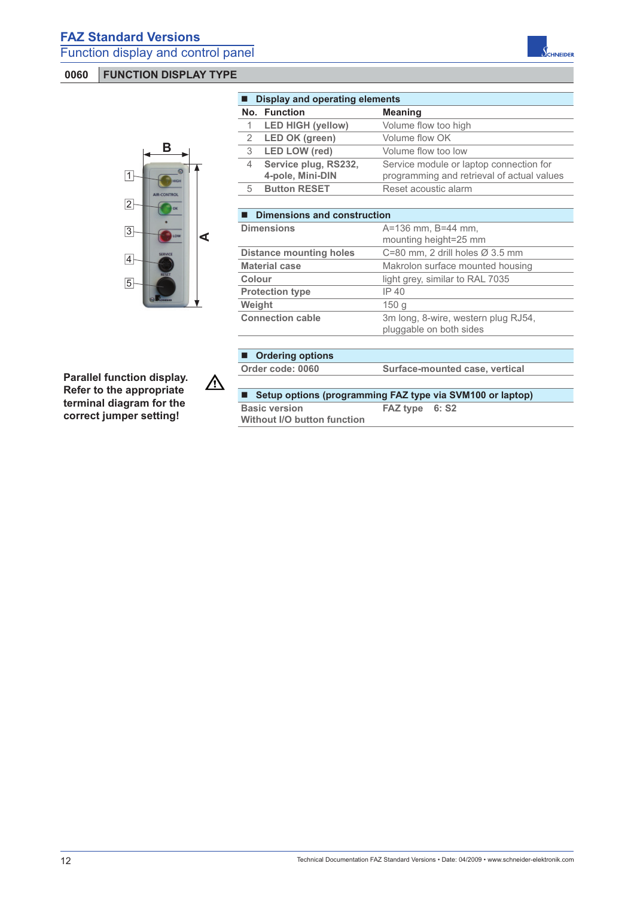

| ■ Display and operating elements |                                          |                                                                                       |
|----------------------------------|------------------------------------------|---------------------------------------------------------------------------------------|
|                                  | No. Function                             | <b>Meaning</b>                                                                        |
|                                  | <b>LED HIGH (yellow)</b>                 | Volume flow too high                                                                  |
|                                  | 2 LED OK (green)                         | Volume flow OK                                                                        |
| 3                                | <b>LED LOW (red)</b>                     | Volume flow too low                                                                   |
| 4                                | Service plug, RS232,<br>4-pole, Mini-DIN | Service module or laptop connection for<br>programming and retrieval of actual values |
| 5                                | <b>Button RESET</b>                      | Reset acoustic alarm                                                                  |
|                                  |                                          |                                                                                       |

| <b>Dimensions and construction</b> |                                                                |  |
|------------------------------------|----------------------------------------------------------------|--|
| <b>Dimensions</b>                  | $A = 136$ mm, $B = 44$ mm,                                     |  |
|                                    | mounting height=25 mm                                          |  |
| <b>Distance mounting holes</b>     | C=80 mm, 2 drill holes $\varnothing$ 3.5 mm                    |  |
| <b>Material case</b>               | Makrolon surface mounted housing                               |  |
| Colour                             | light grey, similar to RAL 7035                                |  |
| <b>Protection type</b>             | IP 40                                                          |  |
| Weight                             | 150q                                                           |  |
| <b>Connection cable</b>            | 3m long, 8-wire, western plug RJ54,<br>pluggable on both sides |  |

#### **Ordering options Order code: 0060 Surface-mounted case, vertical**

 $\sqrt{\frac{1}{2}}$ 

**Parallel function display. Refer to the appropriate terminal diagram for the correct jumper setting!**

| ■ Setup options (programming FAZ type via SVM100 or laptop) |                |  |
|-------------------------------------------------------------|----------------|--|
| <b>Basic version</b>                                        | FAZ type 6: S2 |  |
| <b>Without I/O button function</b>                          |                |  |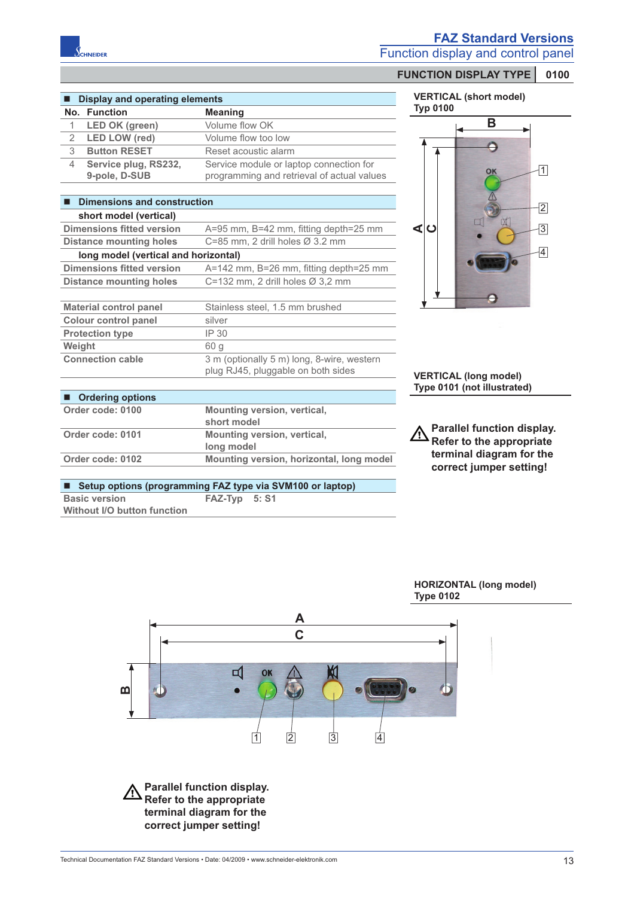

■ Display and operating elements **No. Function Meaning**

4 **Service plug, RS232, 9-pole, D-SUB**

■ **Dimensions and construction short model (vertical)**

**long model (vertical and horizontal)**

**Colour control panel** silver **Protection type IP 30 Weight** 60 g

■ Ordering options

1 LED OK (green) Volume flow OK 2 **LED LOW (red)** Volume flow too low 3 **Button RESET** Reset acoustic alarm

## **FAZ Standard Versions**

Function display and control panel

#### **FUNCTION DISPLAY TYPE 0100**

| <b>VERTICAL (short model)</b> |  |
|-------------------------------|--|
| <b>Typ 0100</b>               |  |



**VERTICAL (long model) Type 0101 (not illustrated)**

**Parallel function display. Refer to the appropriate terminal diagram for the correct jumper setting!**

| ■ Setup options (programming FAZ type via SVM100 or laptop) |               |  |
|-------------------------------------------------------------|---------------|--|
| <b>Basic version</b><br>Without I/O button function         | FAZ-Typ 5: S1 |  |
|                                                             |               |  |

**short model**

**long model Order code: 0102 Mounting version, horizontal, long model**

**Dimensions fitted version** A=95 mm, B=42 mm, fitting depth=25 mm

**Dimensions fitted version** A=142 mm, B=26 mm, fitting depth=25 mm

**Connection cable** 3 m (optionally 5 m) long, 8-wire, western

**Distance mounting holes** C=85 mm, 2 drill holes Ø 3.2 mm

**Distance mounting holes** C=132 mm, 2 drill holes Ø 3,2 mm

**Material control panel** Stainless steel, 1.5 mm brushed

**Order code: 0100 Mounting version, vertical,** 

**Order code: 0101 Mounting version, vertical,** 

#### **HORIZONTAL (long model) Type 0102**



Service module or laptop connection for programming and retrieval of actual values

plug RJ45, pluggable on both sides

**Parallel function display. Refer to the appropriate terminal diagram for the correct jumper setting!**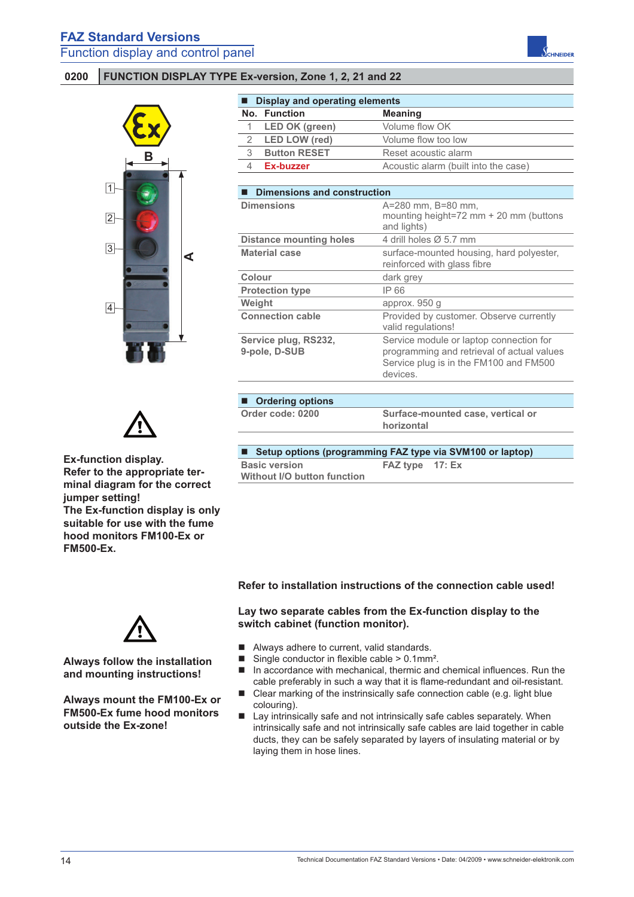### **0200 FUNCTION DISPLAY TYPE Ex-version, Zone 1, 2, 21 and 22**



| <b>Display and operating elements</b> |                                       |                                                                                                                                             |  |
|---------------------------------------|---------------------------------------|---------------------------------------------------------------------------------------------------------------------------------------------|--|
|                                       | No. Function                          | <b>Meaning</b>                                                                                                                              |  |
| 1                                     | <b>LED OK (green)</b>                 | Volume flow OK                                                                                                                              |  |
| 2                                     | <b>LED LOW (red)</b>                  | Volume flow too low                                                                                                                         |  |
| 3                                     | <b>Button RESET</b>                   | Reset acoustic alarm                                                                                                                        |  |
| 4                                     | Ex-buzzer                             | Acoustic alarm (built into the case)                                                                                                        |  |
|                                       |                                       |                                                                                                                                             |  |
| П                                     | <b>Dimensions and construction</b>    |                                                                                                                                             |  |
|                                       | <b>Dimensions</b>                     | A=280 mm, B=80 mm,<br>mounting height=72 mm $+$ 20 mm (buttons<br>and lights)                                                               |  |
|                                       | <b>Distance mounting holes</b>        | 4 drill holes $\varnothing$ 5.7 mm                                                                                                          |  |
|                                       | <b>Material case</b>                  | surface-mounted housing, hard polyester,<br>reinforced with glass fibre                                                                     |  |
| Colour                                |                                       | dark grey                                                                                                                                   |  |
|                                       | <b>Protection type</b>                | IP 66                                                                                                                                       |  |
| Weight                                |                                       | approx. 950 g                                                                                                                               |  |
|                                       | <b>Connection cable</b>               | Provided by customer. Observe currently<br>valid regulations!                                                                               |  |
|                                       | Service plug, RS232,<br>9-pole, D-SUB | Service module or laptop connection for<br>programming and retrieval of actual values<br>Service plug is in the FM100 and FM500<br>devices. |  |
|                                       |                                       |                                                                                                                                             |  |
|                                       | <b>Ordering options</b>               |                                                                                                                                             |  |
|                                       |                                       |                                                                                                                                             |  |

■ Setup options (programming FAZ type via SVM100 or laptop) **Basic version Without I/O button function FAZ type 17: Ex**

**Ex-function display. Refer to the appropriate terminal diagram for the correct jumper setting! The Ex-function display is only suitable for use with the fume hood monitors FM100-Ex or FM500-Ex.** 

**Always follow the installation and mounting instructions!** 

**Always mount the FM100-Ex or FM500-Ex fume hood monitors outside the Ex-zone!**

### **Refer to installation instructions of the connection cable used!**

#### **Lay two separate cables from the Ex-function display to the switch cabinet (function monitor).**

- Always adhere to current, valid standards.
- Single conductor in flexible cable  $> 0.1$ mm<sup>2</sup>.
- $\blacksquare$  In accordance with mechanical, thermic and chemical influences. Run the cable preferably in such a way that it is flame-redundant and oil-resistant.
- Clear marking of the instrinsically safe connection cable (e.g. light blue colouring).
- Lay intrinsically safe and not intrinsically safe cables separately. When intrinsically safe and not intrinsically safe cables are laid together in cable ducts, they can be safely separated by layers of insulating material or by laying them in hose lines.

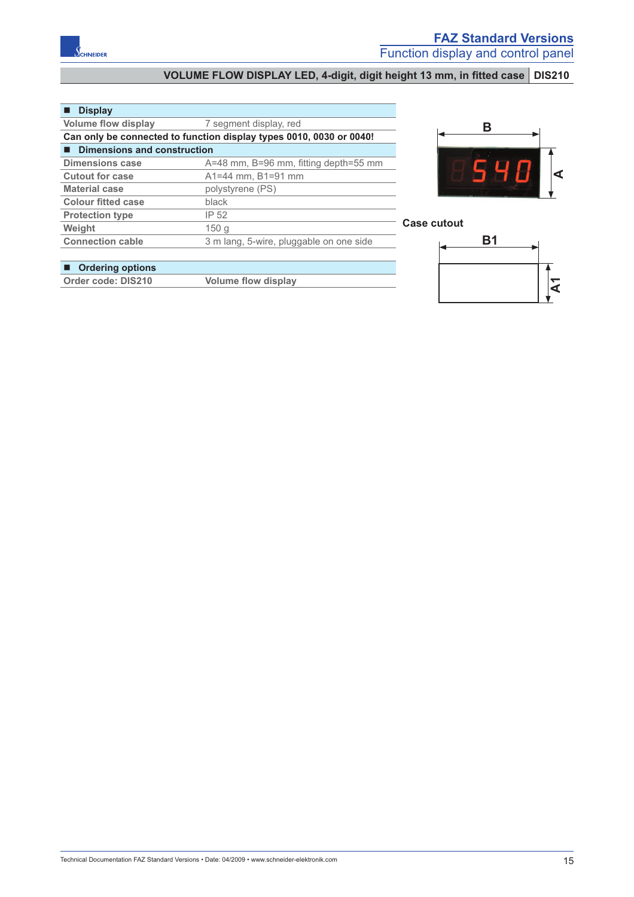# VOLUME FLOW DISPLAY LED, 4-digit, digit height 13 mm, in fitted case DIS210

### **Display**

| <b>Volume flow display</b>                                          | 7 segment display, red                  |  |
|---------------------------------------------------------------------|-----------------------------------------|--|
| Can only be connected to function display types 0010, 0030 or 0040! |                                         |  |
| <b>Dimensions and construction</b>                                  |                                         |  |
| <b>Dimensions case</b>                                              | A=48 mm, B=96 mm, fitting depth=55 mm   |  |
| <b>Cutout for case</b>                                              | A1=44 mm, B1=91 mm                      |  |
| <b>Material case</b>                                                | polystyrene (PS)                        |  |
| <b>Colour fitted case</b>                                           | black                                   |  |
| <b>Protection type</b>                                              | IP 52                                   |  |
| Weight                                                              | 150 <sub>g</sub>                        |  |
| <b>Connection cable</b>                                             | 3 m lang, 5-wire, pluggable on one side |  |



#### **Case cutout**



# **Ordering options**

**Order code: DIS210 Volume flow display**